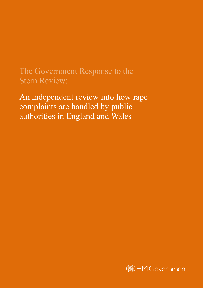# The Government Response to the Stern Review:

An independent review into how rape complaints are handled by public authorities in England and Wales

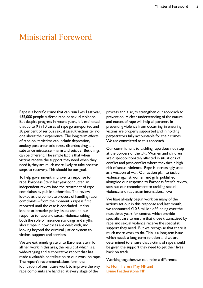# <span id="page-2-0"></span>Ministerial Foreword

Rape is a horrific crime that can ruin lives. Last year, 435,000 people suffered rape or sexual violence. But despite progress in recent years, it is estimated that up to 9 in 10 cases of rape go unreported and 38 per cent of serious sexual assault victims tell no one about their experience. The long term effects of rape on its victims can include depression, anxiety, post traumatic stress disorder, drug and substance misuse, self-harm and suicide. But things can be different. The simple fact is that when victims receive the support they need when they need it, they are much more likely to take positive steps to recovery. This should be our goal.

To help government improve its response to rape, Baroness Stern last year conducted an independent review into the treatment of rape complaints by public authorities. The review looked at the complete process of handling rape complaints – from the moment a rape is first reported until the case is concluded. It also looked at broader policy issues around our response to rape and sexual violence, taking in both the role of misunderstandings and myths about rape in how cases are dealt with, and looking beyond the criminal justice system to victims' support and services.

We are extremely grateful to Baroness Stern for all her work in this area, the result of which is a wide-ranging and authoritative report that has made a valuable contribution to our work on rape. The report's recommendations form the foundation of our future work to improve the way rape complaints are handled at every stage of the

process and, also, to strengthen our approach to prevention. A clear understanding of the nature and extent of rape will help all partners in preventing violence from occurring, in ensuring victims are properly supported and in holding perpetrators fully accountable for their crimes. We are committed to this approach.

Our commitment to tackling rape does not stop at the borders of the UK. Women and children are disproportionately affected in situations of conflict and post-conflict where they face a high risk of sexual violence. Rape is increasingly used as a weapon of war. Our action plan to tackle violence against women and girls, published alongside our response to Baroness Stern's review, sets out our commitment to tackling sexual violence and rape at an international level.

We have already begun work on many of the actions set out in this response and, last month, we announced £10.5 million of funding over the next three years for centres which provide specialist care to ensure that those traumatised by rape and sexual violence receive the specialist support they need. But we recognise that there is much more work to do. This is a long-tem issue which needs a long-term solution and we are determined to ensure that victims of rape should be given the support they need to get their lives back on track.

Working together, we can make a difference.

Rt Hon Theresa May MP and Lynne Featherstone MP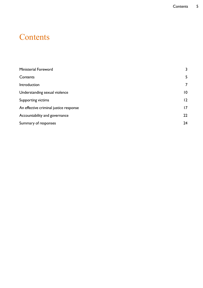# **Contents**

| <b>Ministerial Foreword</b>            | 3  |
|----------------------------------------|----|
| Contents                               | 5  |
| Introduction                           | 7  |
| Understanding sexual violence          | 10 |
| Supporting victims                     | 12 |
| An effective criminal justice response | 7  |
| Accountability and governance          | 22 |
| Summary of responses                   | 24 |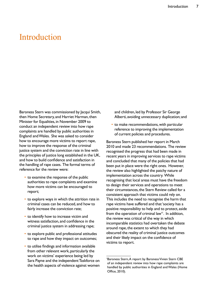# <span id="page-6-0"></span>Introduction

Baroness Stern was commissioned by Jacqui Smith, then Home Secretary, and Harriet Harman, then Minister for Equalities, in November 2009 to conduct an independent review into how rape complaints are handled by public authorities in England and Wales. She was asked to consider how to encourage more victims to report rape, how to improve the response of the criminal justice system and the conviction rate in line with the principles of justice long established in the UK, and how to build confidence and satisfaction in the handling of rape cases. The formal terms of reference for the review were:

- to examine the response of the public authorities to rape complaints and examine how more victims can be encouraged to report;
- to explore ways in which the attrition rate in criminal cases can be reduced, and how to fairly increase the conviction rate;
- to identify how to increase victim and witness satisfaction, and confidence in the criminal justice system in addressing rape;
- to explore public and professional attitudes to rape and how they impact on outcomes;
- to utilise findings and information available from other relevant work, particularly the work on victims' experience being led by Sara Payne and the independent Taskforce on the health aspects of violence against women

and children, led by Professor Sir George Alberti, avoiding unnecessary duplication; and

• to make recommendations, with particular reference to improving the implementation of current policies and procedures.

Baroness Stern published her report in March 2010 and made 23 recommendations. The review recognised the progress that had been made in recent years in improving services to rape victims and concluded that many of the policies that had been put in place were the right ones. However, the review also highlighted the patchy nature of implementation across the country. While recognising that local areas must have the freedom to design their services and operations to meet their circumstances, the Stern Review called for a consistent approach that victims could rely on. This includes the need to recognise the harm that rape victims have suffered and that 'society has a positive responsibility to help and to protect, aside from the operation of criminal law'<sup>1</sup>. In addition, the review was critical of the way in which incomparable statistics had overtaken the debate around rape, the extent to which they had obscured the reality of criminal justice outcomes and their likely impact on the confidence of victims to report.

<sup>1</sup> Baroness Stern, A report by Baroness Vivien Stern CBE of an independent review into how rape complaints are handled by public authorities in England and Wales (Home Office, 2010).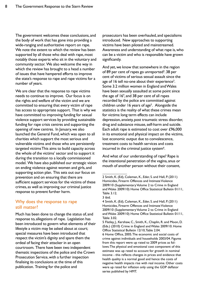The government welcomes these conclusions, and the body of work that has gone into providing a wide-ranging and authoritative report on rape. We note the extent to which the review has been supported by all those who deal with rape, most notably those experts who sit in the voluntary and community sector. We also welcome the way in which the review has brought to a head a number of issues that have hampered efforts to improve the state's response to rape and rape victims for a number of years.

We are clear that the response to rape victims needs to continue to improve. Our focus is on the rights and welfare of the victim and we are committed to ensuring that every victim of rape has access to appropriate support. That is why we have committed to improving funding for sexual violence support services by providing sustainable funding for rape crisis centres and supporting the opening of new centres. In January, we also launched the General Fund, which was open to all charities which support the most serious and vulnerable victims and those who are persistently targeted victims This aims to build capacity across the whole of the victims' sector and to support it during the transition to a locally commissioned model. We have also published our strategic vision on ending violence against women and girls, and supporting action plan. This sets out our focus on prevention and on ensuring that there are sufficient support services for the victims of these crimes, as well as improving our criminal justice response to prevent further harm.

# Why does the response to rape still matter?

Much has been done to change the status of, and response to, allegations of rape. Legislation has been introduced to govern what elements of their lifestyle a victim may be asked about at court; special measures have been introduced that respect the victim's dignity and spare them the ordeal of facing their attacker in an open courtroom. There have been two independent thematic inspections of the police and the Crown Prosecution Service, with a further inspection finalising its conclusions at the time of this publication. Training for the police and

prosecutors has been overhauled, and specialisms introduced. New approaches to supporting victims have been piloted and mainstreamed. Awareness and understanding of what rape is, who can be a victim and who is responsible have grown significantly.

And yet, we know that somewhere in the region of 89 per cent of rapes go unreported<sup>2</sup>. 38 per cent of victims of serious sexual assault since the age of  $16$  tell no-one about their experience<sup>3</sup>. Some 3.2 million women in England and Wales have been sexually assaulted at some point since the age of 164 , and 38 per cent of all rapes recorded by the police are committed against children under 16 years of age<sup>5</sup>. Alongside the statistics is the reality of what these crimes mean for victims: long term effects can include depression, anxiety, post traumatic stress disorder, drug and substance misuse, self-harm and suicide. Each adult rape is estimated to cost over £96,000 in its emotional and physical impact on the victims, lost economic output due to convalescence, treatment costs to health services and costs incurred in the criminal justice system<sup>6</sup>.

And what of our understanding of rape? Rape is the intentional penetration of the vagina, anus or mouth of another person without their consent,

<sup>2</sup> Smith, K. (Ed), Coleman, K., Eder, S. and Hall, P. (2011) Homicides, Firearm Offences and Intimate Violence 2009/10 (Supplementary Volume 2 to Crime in England and Wales 2009/10) Home Office Statistical Bulletin 01/11, Table 3.12.

<sup>3</sup> ibid.

<sup>4</sup> Smith, K. (Ed), Coleman, K., Eder, S. and Hall, P. (2011) Homicides, Firearm Offences and Intimate Violence 2009/10 (Supplementary Volume 2 to Crime in England and Wales 2009/10) Home Office Statistical Bulletin 01/11, Table 3.02.

<sup>5</sup> Flatley, J., Kershaw, C., Smith, K., Chaplin, R. and Moon, D. (Eds.) (2010) Crime in England and Wales 2009/10. Home Office Statistical Bulletin 12/10, Table 2.04. 6 Home Office, 2005. The economic and social costs of crime against individuals and households 2003/04. Figures from this report were up rated to 2009 prices as follows: The physical and emotional cost component of this estimate was up rated to account for growth in nominal income - this reflects changes in prices and evidence that health quality is a normal good and hence the costs of negative health impacts rise with real income. Other costs were up rated for inflation only using the GDP deflator series published by HMT.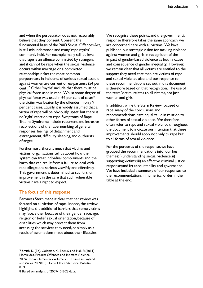and when the perpetrator does not reasonably believe that they consent. Consent, the fundamental basis of the 2003 Sexual Offences Act, is still misunderstood and many 'rape myths' commonly held. For example many still believe that rape is an offence committed by strangers and it cannot be rape when the sexual violence occurs within marriage or a committed relationship: in fact the most common perpetrators in incidents of serious sexual assault against women are current or ex-partners (54 per cent  $)^7$ . Other 'myths' include that there must be physical force used in rape. Whilst some degree of physical force was used in 64 per cent of cases<sup>8</sup>, the victim was beaten by the offender in only 9 per cent cases. Equally, it is widely assumed that a victim of rape will be obviously upset, but there is no 'right' reaction to rape. Symptoms of Rape Trauma Syndrome include recurrent and intrusive recollections of the rape, numbing of general responses, feelings of detachment and estrangement, difficulty sleeping, and outbursts of anger.

Furthermore, there is much that victims and victims' organisations tell us about how the system can treat individual complainants and the harm that can result from a failure to deal with rape allegations seriously, swiftly and effectively. This government is determined to see further improvement in the care that such vulnerable victims have a right to expect.

# The focus of this response

Baroness Stern made it clear that her review was focused on all victims of rape. Indeed, the review highlights the additional barriers that some victims may face, either because of their gender, race, age, religion or belief, sexual orientation, because of disabilities which may prevent them from accessing the services they need, or simply as a result of assumptions made about their lifestyles.

We recognise these points, and the government's response therefore takes the same approach: we are concerned here with all victims. We have published our strategic vision for tackling violence against women and girls in recognition of the impact of gender-based violence as both a cause and consequence of gender inequality. However, we remain clear that all victims are entitled to the support they need, that men are victims of rape and sexual violence also, and our response to these recommendations set out in this document is therefore based on that recognition. The use of the term 'victim' relates to all victims, not just women and girls.

In addition, while the Stern Review focused on rape, many of the conclusions and recommendations have equal value in relation to other forms of sexual violence. We therefore often refer to rape and sexual violence throughout the document to indicate our intention that these improvements should apply not only to rape but to all forms of sexual violence.

For the purposes of the response, we have grouped the recommendations into four key themes: i) understanding sexual violence; ii) supporting victims; iii) an effective criminal justice response; and iv) accountability and governance. We have included a summary of our responses to the recommendations in numerical order in the table at the end.

<sup>7</sup> Smith, K. (Ed), Coleman, K., Eder, S. and Hall, P. (2011) Homicides, Firearm Offences and Intimate Violence 2009/10 (Supplementary Volume 2 to Crime in England and Wales 2009/10) Home Office Statistical Bulletin 01/11.

<sup>8</sup> Based on analysis of 2009/10 BCS data.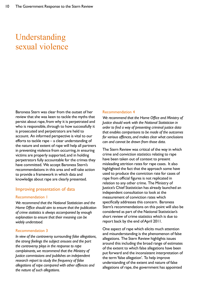# <span id="page-9-0"></span>Understanding sexual violence

Baroness Stern was clear from the outset of her review that she was keen to tackle the myths that persist about rape, from why it is perpetrated and who is responsible, through to how successfully it is prosecuted and perpetrators are held to account. An informed perspective is vital to our efforts to tackle rape – a clear understanding of the nature and extent of rape will help all partners in preventing violence from occurring, in ensuring victims are properly supported, and in holding perpetrators fully accountable for the crimes they have committed. We accept Baroness Stern's recommendations in this area and will take action to provide a framework in which data and knowledge about rape are clearly presented.

## Improving presentation of data

### Recommendation 1

*We recommend that the National Statistician and the Home Office should aim to ensure that the publication of crime statistics is always accompanied by enough explanation to ensure that their meaning can be widely understood.*

#### Recommendation 3

*In view of the controversy surrounding false allegations, the strong feelings the subject arouses and the part the controversy plays in the response to rape complainants, we recommend that the Ministry of Justice commissions and publishes an independent research report to study the frequency of false allegations of rape compared with other offences and the nature of such allegations.* 

#### Recommendation 4

*We recommend that the Home Office and Ministry of Justice should work with the National Statistician in order to find a way of presenting criminal justice data that enables comparisons to be made of the outcomes for various offences, and makes clear what conclusions can and cannot be drawn from those data.* 

The Stern Review was critical of the way in which crime and conviction statistics relating to rape have been taken out of context to present misleading attrition rates for rape cases. It also highlighted the fact that the approach some have used to produce the conviction rate for cases of rape from official figures is not replicated in relation to any other crime. The Ministry of Justice's Chief Statistician has already launched an independent consultation to look at the measurement of conviction rates which specifically addresses this concern. Baroness Stern's recommendations on this point will also be considered as part of the National Statistician's short review of crime statistics which is due to report back by the end of April 2011.

One aspect of rape which elicits much attention and misunderstanding is the phenomenon of false allegations. The Stern Review highlights issues around this including the broad range of estimates of the extent to which false allegations have been put forward and the inconsistent interpretation of the term 'false allegation'. To help improve understanding of the extent and nature of false allegations of rape, the government has appointed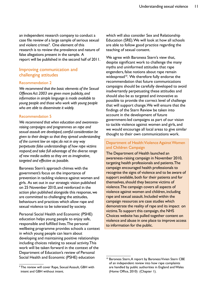<span id="page-10-0"></span>an independent research company to conduct a case file review of a large sample of serious sexual and violent crimes<sup>9</sup>. One element of this research is to review the prevalence and nature of false allegations present in the sample. A report will be published in the second half of 2011.

# Improving communication and challenging attitudes

### Recommendation 2

*We recommend that the basic elements of the Sexual Offences Act 2003 are given more publicity, and information in simple language is made available to young people and those who work with young people who are able to disseminate it widely.*

## Recommendation 5

*We recommend that when education and awarenessraising campaigns and programmes on rape and sexual assault are developed, careful consideration be given to their design so that they spread understanding of the current law on rape; do not in any way perpetuate false understandings of how rape victims respond; and take full advantage of the diverse range of new media outlets so they are as imaginative, targeted and effective as possible.* 

Baroness Stern's approach chimes with the government's focus on the importance of prevention in tackling violence against women and girls. As set out in our strategic vision published on 25 November 2010, and reinforced in the action plan published alongside this response, we are committed to challenging the attitudes, behaviours and practices which allow rape and sexual violence to be tolerated by society.

Personal Social Health and Economic (PSHE) education helps young people to enjoy safe, responsible and fulfilled lives. The personal wellbeing programme provides schools a context in which young people can learn about developing and maintaining positive relationships including choices relating to sexual activity. This work will be taken forward in the context of the Department of Education's review of Personal Social Health and Economic (PSHE) education

which will also consider Sex and Relationship Education (SRE). We will look at how all schools are able to follow good practice regarding the teaching of sexual consent.

We agree with Baroness Stern's view that, despite significant work to challenge the many myths and uninformed attitudes that rape engenders, false notions about rape remain widespread<sup>10</sup>. We therefore fully endorse the recommendation that future communications campaigns should be carefully developed to avoid inadvertently perpetuating these attitudes and should also be as targeted and innovative as possible to provide the correct level of challenge that will support change. We will ensure that the findings of the Stern Review be taken into account in the development of future government-led campaigns as part of our vision to tackle violence against women and girls, and we would encourage all local areas to give similar thought to their own communications work.

## Department of Health: Violence Against Women and Children Campaign

The Department of Health launched an awareness-raising campaign in November 2010, targeting health professionals and patients. The campaign encouraged health professionals to recognise the signs of violence and to be aware of support available, both for their patients and for themselves, should they become victims of violence. The campaign covers all aspects of violence against women and children, including rape and sexual assault. Included within the campaign resources are case studies which demonstrate the reality of rape and its impact on victims. To support this campaign, the NHS Choices website has pulled together content on violence and abuse in one place to improve access to information for the public.

<sup>9</sup> The review will cover Rape, Sexual Assault, GBH with intent and GBH without intent.

<sup>&</sup>lt;sup>10</sup> Baroness Stern, A report by Baroness Vivien Stern CBE of an independent review into how rape complaints are handled by public authorities in England and Wales (Home Office, 2010) (Chapter 1).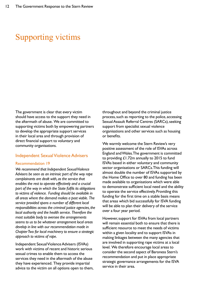# <span id="page-11-0"></span>Supporting victims

The government is clear that every victim should have access to the support they need in the aftermath of abuse. We are committed to supporting victims both by empowering partners to develop the appropriate support services in their local area and through provision of direct financial support to voluntary and community organisations.

## Independent Sexual Violence Advisers

### Recommendation 19

*We recommend that Independent Sexual Violence Advisers be seen as an intrinsic part of the way rape complainants are dealt with, as the service that enables the rest to operate effectively and a crucial part of the way in which the State fulfils its obligations to victims of violence. Funding should be available in all areas where the demand makes a post viable. The service provided spans a number of different local responsibilities across the criminal justice agencies, the local authority and the health service. Therefore the most suitable body to oversee the arrangements seems to us to be whatever arrangement local areas develop in line with our recommendation made in Chapter Two for local machinery to ensure a strategic approach to victims of rape.* 

Independent Sexual Violence Advisers (ISVAs) work with victims of recent and historic serious sexual crimes to enable them to access the services they need in the aftermath of the abuse they have experienced. They provide impartial advice to the victim on all options open to them, throughout and beyond the criminal justice process, such as reporting to the police, accessing Sexual Assault Referral Centres (SARCs), seeking support from specialist sexual violence organisations and other services such as housing or benefits.

We warmly welcome the Stern Review's very positive assessment of the role of ISVAs across England and Wales. The government is committed to providing £1.72m annually to 2015 to fund ISVAs based in either voluntary and community sector organisations or SARCs. This funding will almost double the number of ISVAs supported by the Home Office to over 80 and funding has been made available to organisations which were able to demonstrate sufficient local need and the ability to operate the service effectively. Providing this funding for the first time on a stable basis means that areas which bid successfully for ISVA funding will be able to plan their delivery of the service over a four year period.

However, support for ISVAs from local partners will remain essential both to ensure that there is sufficient resource to meet the needs of victims within a given locality and to support ISVAs in making linkages between the many agencies that are involved in supporting rape victims at a local level. We therefore encourage local areas to consider the second aspect of Baroness Stern's recommendation and put in place appropriate strategic governance arrangements for the ISVA service in their area.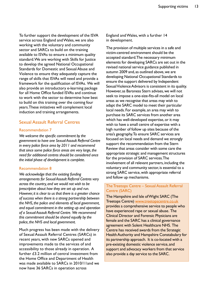<span id="page-12-0"></span>To further support the development of the ISVA service across England and Wales, we are also working with the voluntary and community sector and SARCs to build on the training available to ISVAs to ensure a minimum quality standard. We are working with Skills for Justice to develop the agreed National Occupational Standards for Domestic and Sexual Abuse and Violence to ensure they adequately capture the range of skills that ISVAs will need and provide a framework for the qualification of ISVAs. We will also provide an introductory e-learning package for all Home Office funded ISVAs and continue to work with the sector to determine how best to build on this training over the coming four years. These initiatives will complement local induction and training arrangements.

# Sexual Assault Referral Centres

### Recommendation 7

*We welcome the specific commitment by the government to have one Sexual Assault Referral Centre in every police force area by 2011 and recommend that since some police force areas are very large, the need for additional centres should be considered once the initial phase of development is complete.* 

### Recommendation 8

*We acknowledge that the existing funding arrangements for Sexual Assault Referral Centres vary across the country, and we would not wish to be prescriptive about how they are set up and run. However, it is clear to us that there is a greater chance of success when there is a strong partnership between the NHS, the police and elements of local government, and equal commitment in the setting up and operation of a Sexual Assault Referral Centre. We recommend this commitment should be shared equally by the police, the NHS and local government.*

Much progress has been made with the delivery of Sexual Assault Referral Centres (SARCs) in recent years, with new SARCs opened and improvements made to the services of and accessibility to those already in operation. A further £3.2 million of central investment from the Home Office and Department of Health was made available to SARCs in 2010/11and we now have 36 SARCs in operation across

England and Wales, with a further 14 in development.

The provision of multiple services in a safe and victim-centred environment should be the accepted standard. The necessary minimum elements for developing SARCs are set out in the revised national service guidance published in autumn 2009 and, as outlined above, we are developing National Occupational Standards to ensure the support delivered by Independent Sexual Violence Advisors is consistent in its quality. However, as Baroness Stern advises, we will not seek to impose a one-size-fits-all model on local areas as we recognise that areas may wish to adapt the SARC model to meet their particular local needs. For example, an area may wish to purchase its SARC services from another area which has well-developed expertise, or it may wish to have a small centre of expertise with a high number of follow up sites because of the area's geography. To ensure SARC services are focused on local needs and demand we strongly support the recommendation from the Stern Review that areas consider with some care the appropriate strategic and management structures for the provision of SARC services. The involvement of all relevant partners, including the voluntary and community sector, is essential to a strong SARC service, with appropriate referral and follow up mechanisms.

## The Treetops Centre – Sexual Assault Referral Centre (SARC)

The Hampshire and Isle of Wight SARC (The Treetops Centre) www.treetopscentre.co.uk provides a comprehensive service to people who have experienced rape or sexual abuse. The Clinical Director and Forensic Physicians are female and the SARC has a clinical governance agreement with Solent Healthcare NHS. The Centre has received awards from the Strategic Health Authority and Hampshire Constabulary for its partnership approach. It is co-located with a pre-existing domestic violence service, and support and advocacy workers from that service also provide a day service to the SARC.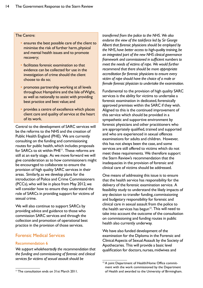### The Centre:

- ensures the best possible care of the client to minimise the risk of further harm, physical and mental health issues and to promote recovery;
- facilitates forensic examination so that evidence can be collected for use in the investigation of crime should the client choose to do so;
- promotes partnership working at all levels throughout Hampshire and the Isle of Wight, as well as nationally to assist with providing best practice and best value; and
- provides a centre of excellence which places client care and quality of service at the heart of its work.

Central to the development of SARC services will be the reforms to the NHS and the creation of Public Health England (PHE). We are currently consulting on the funding and commissioning routes for public health, which includes proposals for SARCs to sit within PHE<sup>11</sup>. These reforms are still at an early stage. As we move forward we will give consideration as to how commissioners might be encouraged to collaborate to ensure the provision of high quality SARC services in their areas. Similarly, as we develop plans for the introduction of Police and Crime Commissioners (PCCs), who will be in place from May 2012, we will consider how to ensure they understand the role of SARCs in providing support for victims of sexual crime.

We will also continue to support SARCs by providing advice and guidance to those who commission SARC services and through the collection and promotion of operational best practice in the provision of those services.

## Forensic Medical Services

### Recommendation 6

*We support wholeheartedly the recommendation that the funding and commissioning of forensic and clinical services for victims of sexual assault should be* 

*transferred from the police to the NHS. We also endorse the view of the taskforce led by Sir George Alberti that forensic physicians should be employed by the NHS, have better access to high-quality training, be an integrated part of the new NHS clinical governance framework and commissioned in sufficient numbers to meet the needs of victims of rape. We would further recommend that there should be more appropriate accreditation for forensic physicians to ensure every victim of rape should have the choice of a male or female forensic physician to undertake the examination.*

Fundamental to the provision of high quality SARC services is the ability for victims to undertake a forensic examination in dedicated, forensically approved premises within the SARC if they wish. Aligned to this is the continued improvement of this service which should be provided in a sympathetic and supportive environment by forensic physicians and other practitioners who are appropriately qualified, trained and supported and who are experienced in sexual offences examinations for adults and children. However, this has not always been the case, and some services are still offered to victims which do not meet these requirements. We therefore support the Stern Review's recommendation that the inadequacies in the provision of forensic and clinical care of victims should be addressed.

One means of addressing this issue is to ensure that the health service has responsibility for the delivery of the forensic examination service. A feasibility study to understand the likely impacts of any decision to transfer funding, commissioning and budgetary responsibility for forensic and clinical care in sexual assault from the police to the health services has begun<sup>12</sup>. This will need to take into account the outcome of the consultation on commissioning and funding routes in public health also currently underway.

We have also funded development of the examination for the Diploma in the Forensic and Clinical Aspects of Sexual Assault by the Society of Apothecaries. This will provide a basic level qualification for doctors, nurses, midwives and

<sup>&</sup>lt;sup>12</sup> A joint Department of Health/Home Office commitment with the work commissioned by the Department of Health and awarded to the University of Birmingham.

<sup>11</sup> The consultation ends on 31st March 2011.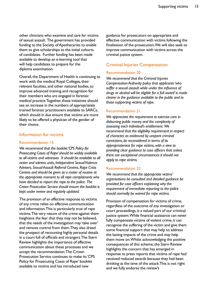other clinicians who examine and care for victims of sexual assault. The government has provided funding to the Society of Apothecaries to enable them to give scholarships to the initial cohorts of candidates. Further funding has been made available to develop an e-learning tool that will help candidates to prepare for the diploma examination.

Overall, the Department of Health is continuing to work with the medical Royal Colleges, their relevant faculties, and other national bodies, to improve advanced training and recognition for their members who are engaged in forensic medical practice. Together, these initiatives should see an increase in the numbers of appropriately trained forensic practitioners available to SARCs, which should in due ensure that victims are more likely to be offered a physician of the gender of their choice.

## Information for victims

## Recommendation 15

*We recommend that the booklet 'CPS Policy for Prosecuting Cases of Rape' should be widely available to all victims and witnesses. It should be available to all victim and witness units, Independent Sexual Violence Advisers, Sexual Assault Referral Centres, Rape Crisis Centres and should be given as a mater of routine at the appropriate moment to all rape complainants who have decided to report the rape to the police. The Crown Prosecution Service should ensure the booklet is kept under review and regularly updated.* 

The provision of an effective response to victims of any crime relies on effective communication and information. This is particularly true of rape victims. The very nature of the crime against them heightens the fear that they may not be believed, that the needs of the investigation may 'take over' and remove control from them. They also dread the prospect of recounting highly personal details in a court full of officials and strangers. The Stern Review highlights the importance of effective communication about these processes and we accept the recommendation. The Crown Prosecution Service continues to make its 'CPS Policy for Prosecuting Cases of Rape' booklet available to victims and has introduced new

guidance for prosecutors on appropriate and effective communication with victims following the finalisation of the prosecution. We will also seek to improve communication with victims across the criminal justice system.

# Criminal Injuries Compensation

## Recommendation 20

*We recommend that the Criminal Injuries Compensation Authority policy that applicants 'who suffer a sexual assault while under the influence of drugs or alcohol will be eligible for a full award' is made clearer in the guidance available to the public and to those supporting victims of rape.*

## Recommendation 21

*We appreciate the requirement to exercise care in disbursing public money and the complexity of assessing each individual's entitlement. We recommend that the eligibility requirement in respect of character, as evidenced by unspent criminal convictions, be reconsidered in terms of its appropriateness for rape victims, with a view to providing clear guidance to case officers that unless there are exceptional circumstances it should not apply to rape victims.* 

## Recommendation 22

*We recommend that the appropriate victims' organisations be consulted and detailed guidance be provided for case officers explaining why the requirement of immediate reporting to the police should normally be waived for rape victims.* 

Provision of compensation for victims of crime, regardless of the outcome of any investigation or court proceedings, is a valued part of our criminal justice system. While financial assistance can never fully compensate victims of violent crime, it can recognise the suffering of the victim and give them some financial support that may help to address the lasting impacts of the crime and may help them move on. Whilst acknowledging the positive consequences of this scheme, the Stern Review highlights the concern that has emerged in response to press reports that victims of rape had received reduced awards because they had been drinking at the time of the attack. This is not right and we fully endorse the review's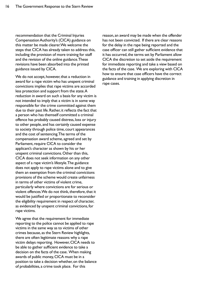recommendation that the Criminal Injuries Compensation Authority's (CICA) guidance on this matter be made clearer. We welcome the steps that CICA has already taken to address this, including the provision of more training for staff and the revision of the online guidance. These revisions have been absorbed into the printed guidance issued by CICA.

We do not accept, however, that a reduction in award for a rape victim who has unspent criminal convictions implies that rape victims are accorded less protection and support from the state. A reduction in award on such a basis for any victim is not intended to imply that a victim is in some way responsible for the crime committed against them due to their past life. Rather, it reflects the fact that a person who has themself committed a criminal offence has probably caused distress, loss or injury to other people, and has certainly caused expense to society through police time, court appearances and the cost of sentencing. The terms of the compensation award scheme, agreed and set by Parliament, require CICA to consider the applicant's character as shown by his or her unspent criminal convictions. Other than this, CICA does not seek information on any other aspect of a rape victim's lifestyle. The guidance does not apply to rape victims alone and to give them an exemption from the criminal convictions provisions of the scheme would create unfairness in terms of other victims of violent crime, particularly where convictions are for serious or violent offences. We do not think, therefore, that it would be justified or proportionate to reconsider the eligibility requirement in respect of character, as evidenced by unspent criminal convictions, for rape victims.

We agree that the requirement for immediate reporting to the police cannot be applied to rape victims in the same way as to victims of other crimes because, as the Stern Review highlights, there are often legitimate reasons why a rape victim delays reporting. However, CICA needs to be able to gather sufficient evidence to take a decision on the facts of the case. When making awards of public money, CICA must be in a position to take a decision whether, on the balance of probabilities, a crime took place. For this

reason, an award may be made when the offender has not been convicted. If there are clear reasons for the delay in the rape being reported and the case officer can still gather sufficient evidence that it has occurred, the terms set by Parliament allow CICA the discretion to set aside the requirement for immediate reporting and take a view based on the facts of the case. We are exploring with CICA how to ensure that case officers have the correct guidance and training in applying discretion in rape cases.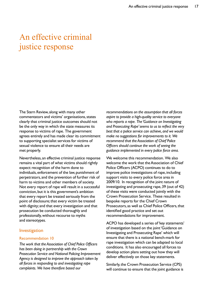# <span id="page-16-0"></span>An effective criminal justice response

The Stern Review, along with many other commentators and victims' organisations, states clearly that criminal justice outcomes should not be the only way in which the state measures its response to victims of rape. The government agrees entirely and has made clear its commitment to supporting specialist services for victims of sexual violence to ensure all their needs are met properly.

Nevertheless, an effective criminal justice response remains a vital part of what victims should rightly expect: recognition of the harm done to individuals, enforcement of the law, punishment of perpetrators, and the prevention of further risk of harm to victims and other members of society. Not every report of rape will result in a successful conviction, but it is this government's ambition that every report be treated seriously from the point of disclosure; that every victim be treated with dignity; and that every investigation and that prosecution be conducted thoroughly and professionally, without recourse to myths and stereotypes.

## **Investigation**

### Recommendation 10

*The work that the Association of Chief Police Officers has been doing in partnership with the Crown Prosecution Service and National Policing Improvement Agency is designed to improve the approach taken by all forces in responding to and investigating rape complaints. We have therefore based our* 

*recommendations on the assumption that all forces aspire to provide a high-quality service to everyone who reports a rape. The 'Guidance on Investigating and Prosecuting Rape' seems to us to reflect the very best that a police service can achieve, and we would make no suggestions for improvements to it. We recommend that the Association of Chief Police Officers should continue the work of seeing the guidance implemented in every police force area.* 

We welcome this recommendation. We also welcome the work that the Association of Chief Police Officers (ACPO) continues to do to improve police investigations of rape, including support visits to every police force area in 2009/10. In recognition of the joint nature of investigating and prosecuting rape, 39 (out of 42) of these visits were conducted jointly with the Crown Prosecution Service. These resulted in bespoke reports for the Chief Crown Prosecutors, as well as Chief Police Officers, that identified good practice and set out recommendations for improvement.

ACPO has developed a series of 'key statements' of investigation based on the joint 'Guidance on Investigating and Prosecuting Rape' which will ensure that there is a national bench-mark for rape investigation which can be adapted to local conditions. It has also encouraged all forces to develop action plans setting out how they will deliver effectively on those key statements.

Similarly, the Crown Prosecution Service (CPS) will continue to ensure that the joint guidance is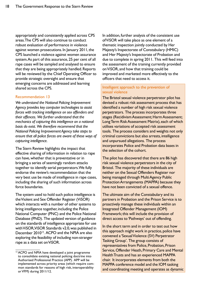appropriately and consistently applied across CPS areas. The CPS will also continue to conduct robust evaluation of performance in violence against women prosecutions. In January 2011, the CPS launched a violence against women assurance system. As part of this assurance, 25 per cent of all rape cases will be sampled and analysed to ensure that they are being appropriately handled. Reports will be reviewed by the Chief Operating Officer to provide strategic oversight and ensure that emerging concerns are addressed and learning shared across the CPS.

## Recommendation 13

*We understand the National Policing Improvement Agency provides key computer technologies to assist forces with tracking intelligence on sex offenders and their offences. We further understand that the mechanics of capturing this intelligence on a national basis do exist. We therefore recommend that the National Policing Improvement Agency take steps to ensure that all police forces are aware of these ways of capturing intelligence.* 

The Stern Review highlights the impact that effective sharing of information in relation to rape can have, whether that is preventative or in bringing a series of seemingly random attacks together to identify serial perpetrators. We fully endorse the review's recommendation that the very best use be made of intelligence in rape cases, including the sharing of such information across force boundaries.

The system used to hold such police intelligence is the Violent and Sex Offender Register (ViSOR) which interacts with a number of other systems to bring intelligence together, including the Police National Computer (PNC) and the Police National Database (PND). The updated version of guidance on the standards of intelligence appropriate for use with ViSOR, ViSOR Standards v2.0, was published in December 2010<sup>13</sup>. ACPO and the NPIA are also exploring the feasibility of including non-stranger rape as a data set on ViSOR.

In addition, further analysis of the consistent use of ViSOR will take place as one element of a thematic inspection jointly conducted by Her Majesty's Inspectorate of Constabulary (HMIC) and Her Majesty's Inspectorate of Probation and due to complete in spring 2011. This will feed into the assessment of the training currently provided on ViSOR, and how that training could be improved and marketed more effectively to the officers that need to access it.

## Intelligent approach to the prevention of sexual violence

The Bristol sexual violence perpetrator pilot has devised a robust risk assessment process that has identified a number of high risk sexual violence perpetrators. The process incorporates three stages (Recidivism Assessment; Harm Assessment; Long Term Risk Assessment Matrix), each of which utilises variations of accepted risk assessment tools. The process considers and weights not only criminal convictions but also arrests, intelligence and unpursued allegations. The process incorporates Police and Probation data bases in the selection of the cohort.

The pilot has discovered that there are 86 high risk sexual violence perpetrators in the city of Bristol. The majority of these individuals are neither on the Sexual Offenders Register nor being managed through Multi Agency Public Protection Arrangements (MAPPA) because they have not been convicted of a sexual offence.

The ultimate aim of the Constabulary and its partners in Probation and the Prison Service is to proactively manage these individuals within an Integrated Offender Management (IOM) Framework; this will include the provision of direct access to 'Pathways' out of offending.

In the short term and in order to test out how this approach might work in practice, police have convened a 'Sexual Violence (SV) Perpetrator Tasking Group'. The group consists of representatives from Police, Probation, Prison Service, Offender Heath, Primary Care and Mental Health Trusts and has an experienced MAPPA chair. It incorporates elements from both the MAPPA conference model and the IOM tasking and coordinating meeting and operates as dynamic

<sup>&</sup>lt;sup>13</sup> ACPO and NPIA have developed a joint programme to consolidate existing national policing doctrine into Authorised Professional Practice (APP). APP will be implemented across priority areas (which require common standards for reasons of high risk, interoperability or VFM) during 2011/12.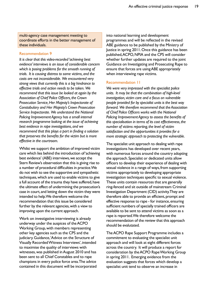multi-agency case management meeting to coordinate efforts in the better management of these individuals.

### Recommendation 9

*It is clear that this video-recorded 'achieving best evidence' interviews is an issue of considerable concern which is posing problems for the smooth running of trials. It is causing distress to some victims, and the costs are not inconsiderable. We encountered very strong views that currently this is a big hindrance to effective trials and action needs to be taken. We recommend that this issue be looked at again by the Association of Chief Police Officers, the Crown Prosecution Service, Her Majesty's Inspectorate of Constabulary and Her Majesty's Crown Prosecution Service Inspectorate. We understand the National Policing Improvement Agency has a small internal research programme looking at the issue of achieving best evidence in rape investigations, and we recommend that this plays a part in finding a solution that preserves the benefits for the victim but is more effective in the courtroom.* 

Whilst we support the ambition of improved victim care which lies behind the introduction of 'achieving best evidence' (ABE) interviews, we accept the Stern Review's observation that this is giving rise to a number of procedural difficulties in practice. We do not wish to see the supportive and sympathetic techniques, which are used to enable victims to give a full account of the trauma they have suffered, have the ultimate effect of undermining the prosecution's case in court, and letting down the victim they were intended to help. We therefore welcome the recommendation that this issue be considered further by the relevant agencies, with a view to improving upon the current approach.

Work on investigative interviewing is already underway under the auspices of the ACPO Working Group, with members representing other key agencies such as the CPS and the judiciary. Guidance, 'Advice on the Structure of Visually Recorded Witness Interviews', intended to maximise the quality of interviews with witnesses, was published in August 2010 and has been sent to all Chief Constables and to rape champions in every police force area. The advice contained in this document will be incorporated into national learning and development programmes and will be reflected in the revised ABE guidance to be published by the Ministry of Justice in spring 2011. Once this guidance has been published, ACPO, NPIA and the CPS will consider whether further updates are required to the joint Guidance on Investigating and Prosecuting Rape to ensure that forces are using ABE appropriately when interviewing rape victims.

## Recommendation 11

*We were very impressed with the specialist police units. It may be that the combination of high-level investigation, victim care and a focus on vulnerable people provided for by specialist units is the best way forward. We therefore recommend that the Association of Chief Police Officers works with the National Policing Improvement Agency to assess the benefits of this specialisation in terms of its cost effectiveness, the number of victims reporting, the level of victim satisfaction and the opportunities it provides for a more strategic approach to protecting the vulnerable.* 

The specialist unit approach to dealing with rape investigations has developed over recent years, with numerous forces around the country adopting the approach. Specialist or dedicated units allow officers to develop their experience of dealing with sexual violence in a range of ways, from supporting victims appropriately to developing appropriate investigation techniques specific to sexual violence. These units contain resources that are generally ring-fenced and sit outside of mainstream Criminal Investigation Department (CID) activity. They are therefore able to provide an efficient, prompt and effective response to rape - for instance, ensuring sufficient numbers of specially trained officers are available to be sent to attend victims as soon as a rape is reported. We therefore welcome the recommendation of the review that this approach should be evalutated.

The ACPO Rape Support Programme includes a commitment to evaluating the specialist unit approach and will look at eight different forces across the country. It will produce a report for consideration by the ACPO Rape Working Group in spring 2011. Emerging evidence from the evaluation suggests that forces which develop a specialist unit tend to observe an increase in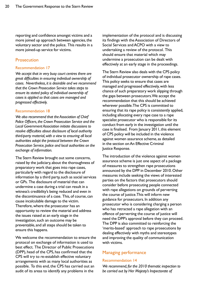reporting and confidence amongst victims and a more joined up approach between agencies, the voluntary sector and the police. This results in a more joined-up service for victims.

## **Prosecution**

## Recommendation 17

*We accept that in very busy court centres there are great difficulties in ensuring individual ownership of cases. Nevertheless, it is desirable and we recommend that the Crown Prosecution Service takes steps to ensure its stated policy of individual ownership of cases is applied so that cases are managed and progressed effectively.*

### Recommendation 18

*We also recommend that the Association of Chief Police Officers, the Crown Prosecution Service and the Local Government Association initiate discussions to resolve difficulties about disclosure of local authority third-party material, with a view to ensuring all local authorities adopt the protocol between the Crown Prosecution Service, police and local authorities on the exchange of information.* 

The Stern Review brought out some concerns, raised by the judiciary, about the thoroughness of preparatory work that goes into rape cases, particularly with regard to the disclosure of information by a third party, such as social services or GPs. The disclosure of material that can undermine a case during a trial can result in a witness's credibility's being reduced and even in the discontinuance of a case. This, of course, can cause incalculable damage to the victim. Therefore, where the prosecutor has an opportunity to review the material and address the issues raised at an early stage in the investigation, such an outcome may be preventable, and all steps should be taken to ensure this happens.

We welcome the recommendation to ensure the protocol on exchange of information is used to best effect. The Director of Public Prosecutions (DPP), head of the CPS, has confirmed that the CPS will try to re-establish effective voluntary arrangements with as many local authorities as possible. To this end, the CPS has carried out an audit of its areas to identify any problems in the

implementation of the protocol and is discussing its findings with the Association of Directors of Social Services and ACPO with a view to undertaking a review of the protocol. This should ensure that material which may undermine a prosecution can be dealt with effectively at an early stage in the proceedings.

The Stern Review also deals with the CPS policy of individual prosecutor ownership of rape cases. This policy seeks to ensure that cases are managed and progressed effectively, with less chance of such preparatory work slipping through the gaps between prosecutors. We accept the recommendation that this should be achieved wherever possible. The CPS is committed to ensuring that its rape policy is consistently applied, including allocating every rape case to a rape specialist prosecutor who is responsible for its conduct from early in the investigation until the case is finalised. From January 2011, this element of CPS policy will be included in the violence against women assurance scheme, as detailed in the section on An Effective Criminal Justice Response.

The introduction of the violence against women assurance scheme is just one aspect of a package of measures to strengthen rape prosecutions announced by the DPP in December 2010. Other measures include seeking the views of interested parties on the factors that prosecutors should consider before prosecuting people connected with rape allegations on grounds of perverting the course of justice. This will inform new guidance for prosecutors. In addition any prosecutor who is considering charging a person who has retracted a rape allegation with an offence of perverting the course of justice will need the DPP's approval before they can proceed. The DPP is also committed to reinforcing the 'merits-based' approach to rape prosecutions by dealing effectively with myths and stereotypes and improving the quality of communication with victims.

# Managing performance

### Recommendation 14

*We recommend, for the 2010 thematic inspection to be carried out by Her Majesty's Inspectorate of*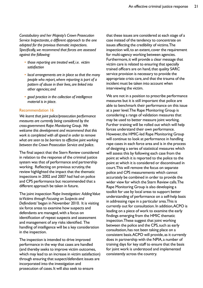*Constabulary and her Majesty's Crown Prosecution Service Inspectorate, a different approach to the one adopted for the previous thematic inspections. Specifically, we recommend that forces are assessed against the following:*

- *• those reporting are treated well, i.e. victim satisfaction*
- *• local arrangements are in place so that the many people who report, where reporting is part of a pattern of abuse in their lives, are linked into other agencies; and*
- *• good practice in the collection of intelligence material is in place.*

### Recommendation 16

*We learnt that joint police/prosecution performance measures are currently being considered by the cross-government Rape Monitoring Group. We welcome this development and recommend that this work is completed with all speed in order to remove what are seen to be barriers to effective joint working between the Crown Prosecution Service and police.* 

The final aspect that the Stern Review considered in relation to the response of the criminal justice system was that of performance and partnership working. Reflecting on previous scrutiny, the review highlighted the impact that the thematic inspections in 2002 and 2007 had had on police and CPS performance but recommended that a different approach be taken in future.

The joint inspection *'Rape Investigation: Adding Value to Victims through Focusing on Suspects and Defendants'* began in November 2010. It is visiting six force areas to examine how suspects and defendants are managed, with a focus on identification of repeat suspects and assessment and management of any risks identified. The handling of intelligence will be a key consideration in the inspection.

The inspection is intended to drive improved performance in the way that cases are handled (and thereby seeks to improve victim outcomes, which may lead to an increase in victim satisfaction) through ensuring that suspect/defendant issues are incorporated into the investigation and prosecution of cases. It will also seek to ensure

that these issues are considered at each stage of a case instead of the tendency to concentrate on issues affecting the credibility of victims. The inspection will, to an extent, cover the requirement for multi-agency working between agencies. Furthermore, it will provide a clear message that victim care is related to ensuring that specially trained officers are on hand, that quality SARC service provision is necessary to provide the appropriate crisis care, and that the trauma of the incident must be taken into account when interviewing the victim.

We are not in a position to prescribe performance measures but it is still important that police are able to benchmark their performance on this issue at a peer level. The Rape Monitoring Group is considering a range of validation measures that may be used to better measure joint working. Further training will be rolled out which will help forces understand their own performance. However, the HMIC-led Rape Monitoring Group will continue to look at performance in handling rape cases in each force area and is in the process of designing a series of statistical measures which will assess this by following each case from the point at which it is reported to the police to the point at which it is considered or discontinued in court. This will remove the focus on separate police and CPS measurements which cannot accurately be combined in order to provide the wider view for which the Stern Review calls. The Rape Monitoring Group is also developing a toolkit for use by local areas to support better understanding of performance on a self-help basis in addressing rape in a particular area. This is currently out for consultation. In addition, ACPO is leading on a piece of work to examine the early findings emerging from the HMIC thematic inspection. These suggest that joint working between the police and the CPS, such as early consultation, has not been taking place on a consistent basis. ACPO will provide, as it currently does in partnership with the NPIA, a number of training days for key staff to ensure that the basis for joint work is understood and implemented consistently across the country.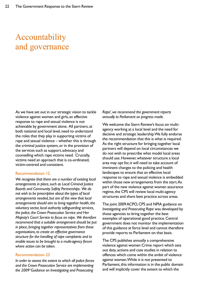# <span id="page-21-0"></span>Accountability and governance

As we have set out in our strategic vision to tackle violence against women and girls, an effective response to rape and sexual violence is not achievable by government alone. All partners, at both national and local level, need to understand the roles that they play in supporting victims of rape and sexual violence – whether this is through the criminal justice system, or in the provision of the services such as support, advocacy and counselling which rape victims need. Crucially, victims need an approach that is co-ordinated, victim-centred and consistent.

### Recommendation 12

*We recognise that there are a number of existing local arrangements in place, such as Local Criminal Justice Boards and Community Safety Partnerships. We do not wish to be prescriptive about the types of local arrangements needed, but are of the view that local arrangements should aim to bring together health, the voluntary sector, local authority safeguarding services, the police, the Crown Prosecution Service and Her Majesty's Court Service to focus on rape. We therefore recommend that a suitable arrangement should be put in place, bringing together representatives from these organisations, to create an effective governance structure for the handling of rape complaints and to enable issues to be brought to a multi-agency forum where action can be taken.* 

### Recommendation 23

*In order to assess the extent to which all police forces and the Crown Prosecution Service are implementing the 2009 'Guidance on Investigating and Prosecuting* 

*Rape', we recommend the government reports annually to Parliament on progress made.* 

We welcome the Stern Review's focus on multiagency working at a local level and the need for decisive and strategic leadership. We fully endorse the recommendation that this is what is required. As the right structure for bringing together local partners will depend on local circumstances we do not wish to prescribe what model local areas should use. However, whatever structure a local area may opt for, it will need to take account of imminent changes to the policing and health landscapes to ensure that an effective local response to rape and sexual violence is embedded within those new arrangements from the start. As part of the new violence against women assurance regime, the CPS will review local multi-agency structures and share best practice across areas.

The joint 2009 ACPO, CPS and NPIA guidance on *Investigating and Prosecuting Rape* was developed by those agencies to bring together the best examples of operational good practice. Central government does not monitor the implementation of this guidance at force level and cannot therefore provide reports to Parliament on that basis.

The CPS publishes annually a comprehensive violence against women Crime report which sets out data, actions and case studies in relation to offences which come within the ambit of violence against women. While it is not presented to Parliament, this information is in the public domain and will implicitly cover the extent to which the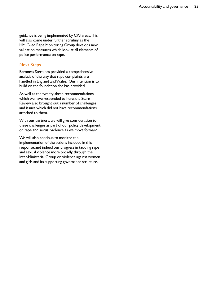<span id="page-22-0"></span>guidance is being implemented by CPS areas. This will also come under further scrutiny as the HMIC-led Rape Monitoring Group develops new validation measures which look at all elements of police performance on rape.

# Next Steps

Baroness Stern has provided a comprehensive analysis of the way that rape complaints are handled in England and Wales. Our intention is to build on the foundation she has provided.

As well as the twenty-three recommendations which we have responded to here, the Stern Review also brought out a number of challenges and issues which did not have recommendations attached to them.

With our partners, we will give consideration to these challenges as part of our policy development on rape and sexual violence as we move forward.

We will also continue to monitor the implementation of the actions included in this response, and indeed our progress in tackling rape and sexual violence more broadly, through the Inter-Ministerial Group on violence against women and girls and its supporting governance structure.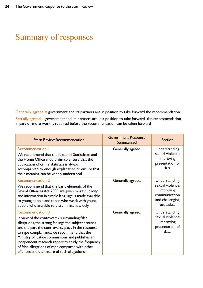# <span id="page-23-0"></span>Summary of responses

Generally agreed = government and its partners are in position to take forward the recommendation Partially agreed = government and its partners are in a position to take forward the recommendation in part or more work is required before the recommendation can be taken forward

| <b>Stern Review Recommendation</b>                                                                                                                                                                                                                                                                                                                                                                                                                 | <b>Government Response</b><br>Summarised | <b>Section</b>                                                                                   |
|----------------------------------------------------------------------------------------------------------------------------------------------------------------------------------------------------------------------------------------------------------------------------------------------------------------------------------------------------------------------------------------------------------------------------------------------------|------------------------------------------|--------------------------------------------------------------------------------------------------|
| <b>Recommendation I</b><br>We recommend that the National Statistician and<br>the Home Office should aim to ensure that the<br>publication of crime statistics is always<br>accompanied by enough explanation to ensure that<br>their meaning can be widely understood.                                                                                                                                                                            | Generally agreed.                        | Understanding<br>sexual violence:<br>Improving<br>presentation of<br>data.                       |
| <b>Recommendation 2</b><br>We recommend that the basic elements of the<br>Sexual Offences Act 2003 are given more publicity,<br>and information in simple language is made available<br>to young people and those who work with young<br>people who are able to disseminate it widely.                                                                                                                                                             | Generally agreed.                        | Understanding<br>sexual violence:<br>Improving<br>communication<br>and challenging<br>attitudes. |
| <b>Recommendation 3</b><br>In view of the controversy surrounding false<br>allegations, the strong feelings the subject arouses<br>and the part the controversy plays in the response<br>to rape complainants, we recommend that the<br>Ministry of Justice commissions and publishes an<br>independent research report to study the frequency<br>of false allegations of rape compared with other<br>offences and the nature of such allegations. | Generally agreed.                        | Understanding<br>sexual violence:<br>Improving<br>presentation of<br>data.                       |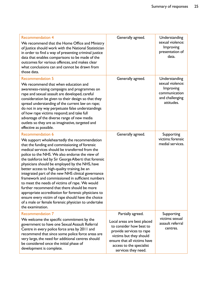<span id="page-24-0"></span>

| <b>Recommendation 4</b><br>We recommend that the Home Office and Ministry<br>of Justice should work with the National Statistician<br>in order to find a way of presenting criminal justice<br>data that enables comparisons to be made of the<br>outcomes for various offences, and makes clear<br>what conclusions can and cannot be drawn from<br>those data.                                                                                                                                                                                                                                                                                                                                                                                                                               | Generally agreed.                                                                                                                                                                                                     | Understanding<br>sexual violence:<br>Improving<br>presentation of<br>data.                       |
|------------------------------------------------------------------------------------------------------------------------------------------------------------------------------------------------------------------------------------------------------------------------------------------------------------------------------------------------------------------------------------------------------------------------------------------------------------------------------------------------------------------------------------------------------------------------------------------------------------------------------------------------------------------------------------------------------------------------------------------------------------------------------------------------|-----------------------------------------------------------------------------------------------------------------------------------------------------------------------------------------------------------------------|--------------------------------------------------------------------------------------------------|
| <b>Recommendation 5</b><br>We recommend that when education and<br>awareness-raising campaigns and programmes on<br>rape and sexual assault are developed, careful<br>consideration be given to their design so that they<br>spread understanding of the current law on rape;<br>do not in any way perpetuate false understandings<br>of how rape victims respond; and take full<br>advantage of the diverse range of new media<br>outlets so they are as imaginative, targeted and<br>effective as possible.                                                                                                                                                                                                                                                                                  | Generally agreed.                                                                                                                                                                                                     | Understanding<br>sexual violence:<br>Improving<br>communication<br>and challenging<br>attitudes. |
| <b>Recommendation 6</b><br>We support wholeheartedly the recommendation<br>that the funding and commissioning of forensic<br>medical services should be transferred from the<br>police to the NHS. We also endorse the view of<br>the taskforce led by Sir George Alberti that forensic<br>physicians should be employed by the NHS, have<br>better access to high-quality training, be an<br>integrated part of the new NHS clinical governance<br>framework and commissioned in sufficient numbers<br>to meet the needs of victims of rape. We would<br>further recommend that there should be more<br>appropriate accreditation for forensic physicians to<br>ensure every victim of rape should have the choice<br>of a male or female forensic physician to undertake<br>the examination. | Generally agreed.                                                                                                                                                                                                     | Supporting<br>victims: forensic<br>medial services.                                              |
| <b>Recommendation 7</b><br>We welcome the specific commitment by the<br>government to have one Sexual Assault Referral<br>Centre in every police force area by 2011 and<br>recommend that since some police force areas are<br>very large, the need for additional centres should<br>be considered once the initial phase of<br>development is complete.                                                                                                                                                                                                                                                                                                                                                                                                                                       | Partially agreed.<br>Local areas are best placed<br>to consider how best to<br>provide services to rape<br>victims but they should<br>ensure that all victims have<br>access to the specialist<br>services they need. | Supporting<br>victims: sexual<br>assault referral<br>centres.                                    |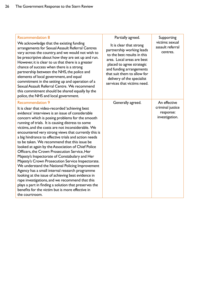| <b>Recommendation 8</b><br>We acknowledge that the existing funding<br>arrangements for Sexual Assault Referral Centres<br>vary across the country, and we would not wish to<br>be prescriptive about how they are set up and run.<br>However, it is clear to us that there is a greater<br>chance of success when there is a strong<br>partnership between the NHS, the police and<br>elements of local government, and equal<br>commitment in the setting up and operation of a<br>Sexual Assault Referral Centre. We recommend<br>this commitment should be shared equally by the<br>police, the NHS and local government.                                                                                                                                                                                                                                                                                                                                                                                         | Partially agreed.<br>It is clear that strong<br>partnership working leads<br>to the best results in this<br>area. Local areas are best<br>placed to agree strategic<br>and funding arrangements<br>that suit them to allow for<br>delivery of the specialist<br>services that victims need. | Supporting<br>victims: sexual<br>assault referral<br>centres.   |
|-----------------------------------------------------------------------------------------------------------------------------------------------------------------------------------------------------------------------------------------------------------------------------------------------------------------------------------------------------------------------------------------------------------------------------------------------------------------------------------------------------------------------------------------------------------------------------------------------------------------------------------------------------------------------------------------------------------------------------------------------------------------------------------------------------------------------------------------------------------------------------------------------------------------------------------------------------------------------------------------------------------------------|---------------------------------------------------------------------------------------------------------------------------------------------------------------------------------------------------------------------------------------------------------------------------------------------|-----------------------------------------------------------------|
| <b>Recommendation 9</b><br>It is clear that video-recorded 'achieving best<br>evidence' interviews is an issue of considerable<br>concern which is posing problems for the smooth<br>running of trials. It is causing distress to some<br>victims, and the costs are not inconsiderable. We<br>encountered very strong views that currently this is<br>a big hindrance to effective trials and action needs<br>to be taken. We recommend that this issue be<br>looked at again by the Association of Chief Police<br>Officers, the Crown Prosecution Service, Her<br>Majesty's Inspectorate of Constabulary and Her<br>Majesty's Crown Prosecution Service Inspectorate.<br>We understand the National Policing Improvement<br>Agency has a small internal research programme<br>looking at the issue of achieving best evidence in<br>rape investigations, and we recommend that this<br>plays a part in finding a solution that preserves the<br>benefits for the victim but is more effective in<br>the courtroom. | Generally agreed.                                                                                                                                                                                                                                                                           | An effective<br>criminal justice<br>response:<br>investigation. |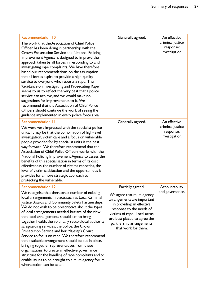| <b>Recommendation 10</b><br>The work that the Association of Chief Police<br>Officer has been doing in partnership with the<br>Crown Prosecution Service and National Policing<br>Improvement Agency is designed to improve the<br>approach taken by all forces in responding to and<br>investigating rape complaints. We have therefore<br>based our recommendations on the assumption<br>that all forces aspire to provide a high-quality<br>service to everyone who reports a rape. The<br>'Guidance on Investigating and Prosecuting Rape'<br>seems to us to reflect the very best that a police<br>service can achieve, and we would make no<br>suggestions for improvements to it. We<br>recommend that the Association of Chief Police<br>Officers should continue the work of seeing the<br>guidance implemented in every police force area.                   | Generally agreed.                                                                                                                                                                                                                                         | An effective<br>criminal justice<br>response:<br>investigation. |
|------------------------------------------------------------------------------------------------------------------------------------------------------------------------------------------------------------------------------------------------------------------------------------------------------------------------------------------------------------------------------------------------------------------------------------------------------------------------------------------------------------------------------------------------------------------------------------------------------------------------------------------------------------------------------------------------------------------------------------------------------------------------------------------------------------------------------------------------------------------------|-----------------------------------------------------------------------------------------------------------------------------------------------------------------------------------------------------------------------------------------------------------|-----------------------------------------------------------------|
| <b>Recommendation 11</b><br>We were very impressed with the specialist police<br>units. It may be that the combination of high-level<br>investigation, victim care and a focus on vulnerable<br>people provided for by specialist units is the best<br>way forward. We therefore recommend that the<br>Association of Chief Police Officers works with the<br>National Policing Improvement Agency to assess the<br>benefits of this specialisation in terms of its cost<br>effectiveness, the number of victims reporting, the<br>level of victim satisfaction and the opportunities it<br>provides for a more strategic approach to<br>protecting the vulnerable.                                                                                                                                                                                                    | Generally agreed.                                                                                                                                                                                                                                         | An effective<br>criminal justice<br>response:<br>investigation. |
| <b>Recommendation 12</b><br>We recognise that there are a number of existing<br>local arrangements in place, such as Local Criminal<br>Justice Boards and Community Safety Partnerships.<br>We do not wish to be prescriptive about the types<br>of local arrangements needed, but are of the view<br>that local arrangements should aim to bring<br>together health, the voluntary sector, local authority<br>safeguarding services, the police, the Crown<br>Prosecution Service and her Majesty's Court<br>Service to focus on rape. We therefore recommend<br>that a suitable arrangement should be put in place,<br>bringing together representatives from these<br>organisations, to create an effective governance<br>structure for the handling of rape complaints and to<br>enable issues to be brought to a multi-agency forum<br>where action can be taken. | Partially agreed.<br>We agree that multi-agency<br>arrangements are important<br>in providing an effective<br>response to the needs of<br>victims of rape. Local areas<br>are best placed to agree the<br>partnership arrangements<br>that work for them. | Accountability<br>and governance.                               |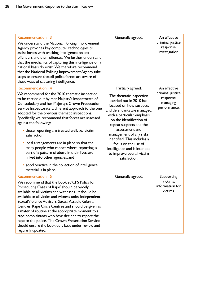| <b>Recommendation 13</b><br>We understand the National Policing Improvement<br>Agency provides key computer technologies to<br>assist forces with tracking intelligence on sex<br>offenders and their offences. We further understand<br>that the mechanics of capturing this intelligence on a<br>national basis do exist. We therefore recommend<br>that the National Policing Improvement Agency take<br>steps to ensure that all police forces are aware of<br>these ways of capturing intelligence.                                                                                                                                                                                                               | Generally agreed.                                                                                                                                                                                                                                                                                                                                                                                       | An effective<br>criminal justice<br>response:<br>investigation.           |
|------------------------------------------------------------------------------------------------------------------------------------------------------------------------------------------------------------------------------------------------------------------------------------------------------------------------------------------------------------------------------------------------------------------------------------------------------------------------------------------------------------------------------------------------------------------------------------------------------------------------------------------------------------------------------------------------------------------------|---------------------------------------------------------------------------------------------------------------------------------------------------------------------------------------------------------------------------------------------------------------------------------------------------------------------------------------------------------------------------------------------------------|---------------------------------------------------------------------------|
| <b>Recommendation 14</b><br>We recommend, for the 2010 thematic inspection<br>to be carried out by Her Majesty's Inspectorate of<br>Constabulary and her Majesty's Crown Prosecution<br>Service Inspectorate, a different approach to the one<br>adopted for the previous thematic inspections.<br>Specifically, we recommend that forces are assessed<br>against the following:<br>• those reporting are treated well, i.e. victim<br>satisfaction;<br>• local arrangements are in place so that the<br>many people who report, where reporting is<br>part of a pattern of abuse in their lives, are<br>linked into other agencies; and<br>• good practice in the collection of intelligence<br>material is in place. | Partially agreed.<br>The thematic inspection<br>carried out in 2010 has<br>focused on how suspects<br>and defendants are managed,<br>with a particular emphasis<br>on the identification of<br>repeat suspects and the<br>assessment and<br>management of any risks<br>identified. This includes a<br>focus on the use of<br>intelligence and is intended<br>to improve overall victim<br>satisfaction. | An effective<br>criminal justice<br>response:<br>managing<br>performance. |
| <b>Recommendation 15</b><br>We recommend that the booklet 'CPS Policy for<br>Prosecuting Cases of Rape' should be widely<br>available to all victims and witnesses. It should be<br>available to all victim and witness units, Independent<br>Sexual Violence Advisers, Sexual Assault Referral<br>Centres, Rape Crisis Centres and should be given as<br>a mater of routine at the appropriate moment to all<br>rape complainants who have decided to report the<br>rape to the police. The Crown Prosecution Service<br>should ensure the booklet is kept under review and<br>regularly updated.                                                                                                                     | Generally agreed.                                                                                                                                                                                                                                                                                                                                                                                       | Supporting<br>victims:<br>information for<br>victims.                     |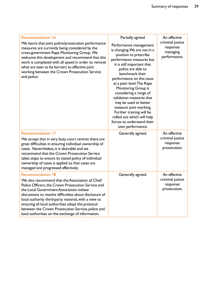| <b>Recommendation 16</b><br>We learnt that joint police/prosecution performance<br>measures are currently being considered by the<br>cross-government Rape Monitoring Group. We<br>welcome this development and recommend that this<br>work is completed with all speed in order to remove<br>what are seen to be barriers to effective joint<br>working between the Crown Prosecution Service<br>and police.                                                    | Partially agreed<br>Performance management<br>is changing. We are not in a<br>position to prescribe<br>performance measures but<br>it is still important that<br>police are able to<br>benchmark their<br>performance on this issue<br>at a peer level. The Rape<br>Monitoring Group is<br>considering a range of<br>validation measures that<br>may be used to better<br>measure joint working.<br>Further training will be<br>rolled out which will help<br>forces to understand their<br>own performance. | An effective<br>criminal justice<br>response:<br>managing<br>performance. |
|------------------------------------------------------------------------------------------------------------------------------------------------------------------------------------------------------------------------------------------------------------------------------------------------------------------------------------------------------------------------------------------------------------------------------------------------------------------|--------------------------------------------------------------------------------------------------------------------------------------------------------------------------------------------------------------------------------------------------------------------------------------------------------------------------------------------------------------------------------------------------------------------------------------------------------------------------------------------------------------|---------------------------------------------------------------------------|
| <b>Recommendation 17</b><br>We accept that in very busy court centres there are<br>great difficulties in ensuring individual ownership of<br>cases. Nevertheless, it is desirable and we<br>recommend that the Crown Prosecution Service<br>takes steps to ensure its stated policy of individual<br>ownership of cases is applied so that cases are<br>managed and progressed effectively.                                                                      | Generally agreed.                                                                                                                                                                                                                                                                                                                                                                                                                                                                                            | An effective<br>criminal justice<br>response:<br>prosecution.             |
| <b>Recommendation 18</b><br>We also recommend that the Association of Chief<br>Police Officers, the Crown Prosecution Service and<br>the Local Government Association initiate<br>discussions to resolve difficulties about disclosure of<br>local authority third-party material, with a view to<br>ensuring all local authorities adopt the protocol<br>between the Crown Prosecution Service, police and<br>local authorities on the exchange of information. | Generally agreed.                                                                                                                                                                                                                                                                                                                                                                                                                                                                                            | An effective<br>criminal justice<br>response:<br>prosecution.             |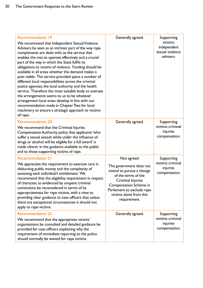| <b>Recommendation 19</b><br>We recommend that Independent Sexual Violence<br>Advisers be seen as an intrinsic part of the way rape<br>complainants are dealt with, as the service that<br>enables the rest to operate effectively and a crucial<br>part of the way in which the State fulfils its<br>obligations to victims of violence. Funding should be<br>available in all areas whether the demand makes a<br>post viable. The service provided spans a number of<br>different local responsibilities across the criminal<br>justice agencies, the local authority and the health<br>service. Therefore the most suitable body to oversee<br>the arrangements seems to us to be whatever<br>arrangement local areas develop in line with our<br>recommendation made in Chapter Two for local<br>machinery to ensure a strategic approach to victims<br>of rape. | Generally agreed.                                                                                                                                                                                                               | Supporting<br>victims:<br>independent<br>sexual violence<br>advisers. |
|----------------------------------------------------------------------------------------------------------------------------------------------------------------------------------------------------------------------------------------------------------------------------------------------------------------------------------------------------------------------------------------------------------------------------------------------------------------------------------------------------------------------------------------------------------------------------------------------------------------------------------------------------------------------------------------------------------------------------------------------------------------------------------------------------------------------------------------------------------------------|---------------------------------------------------------------------------------------------------------------------------------------------------------------------------------------------------------------------------------|-----------------------------------------------------------------------|
| <b>Recommendation 20</b><br>We recommend that the Criminal Injuries<br>Compensation Authority policy that applicants 'who<br>suffer a sexual assault while under the influence of<br>drugs or alcohol will be eligible for a full award' is<br>made clearer in the guidance available to the public<br>and to those supporting victims of rape.                                                                                                                                                                                                                                                                                                                                                                                                                                                                                                                      | Generally agreed.                                                                                                                                                                                                               | Supporting<br>victims: criminal<br>injuries<br>compensation.          |
| <b>Recommendation 21</b><br>We appreciate the requirement to exercise care in<br>disbursing public money and the complexity of<br>assessing each individual's entitlement. We<br>recommend that the eligibility requirement in respect<br>of character, as evidenced by unspent criminal<br>convictions, be reconsidered in terms of its<br>appropriateness for rape victims, with a view to<br>providing clear guidance to case officers that unless<br>there are exceptional circumstances it should not<br>apply to rape victims.                                                                                                                                                                                                                                                                                                                                 | Not agreed<br>The government does not<br>intend to pursue a change<br>of the terms of the<br><b>Criminal Injuries</b><br><b>Compensation Scheme in</b><br>Parliament to exclude rape<br>victims alone from this<br>requirement. | Supporting<br>victims: criminal<br>injuries<br>compensation.          |
| <b>Recommendation 22</b><br>We recommend that the appropriate victims'<br>organisations be consulted and detailed guidance be<br>provided for case officers explaining why the<br>requirement of immediate reporting to the police<br>should normally be waived for rape victims.                                                                                                                                                                                                                                                                                                                                                                                                                                                                                                                                                                                    | Generally agreed.                                                                                                                                                                                                               | Supporting<br>victims: criminal<br>injuries<br>compensation.          |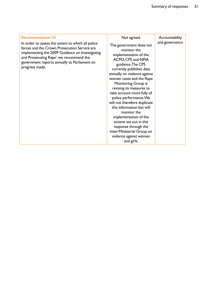| <b>Recommendation 23</b><br>In order to assess the extent to which all police<br>forces and the Crown Prosecution Service are<br>implementing the 2009 'Guidance on Investigating<br>and Prosecuting Rape', we recommend the<br>government reports annually to Parliament on<br>progress made. | Not agreed.<br>The government does not<br>monitor the<br>implementation of the<br>ACPO, CPS and NPIA<br>guidance. The CPS<br>currently publishes data<br>annually on violence against<br>women cases and the Rape<br>Monitoring Group is<br>revising its measures to<br>take account more fully of<br>police performance. We<br>will not therefore duplicate<br>this information but will<br>monitor the<br>implementation of the<br>actions set out in this<br>response through the<br>Inter-Ministerial Group on<br>violence against women<br>and girls. | Accountability<br>and governance. |
|------------------------------------------------------------------------------------------------------------------------------------------------------------------------------------------------------------------------------------------------------------------------------------------------|------------------------------------------------------------------------------------------------------------------------------------------------------------------------------------------------------------------------------------------------------------------------------------------------------------------------------------------------------------------------------------------------------------------------------------------------------------------------------------------------------------------------------------------------------------|-----------------------------------|
|------------------------------------------------------------------------------------------------------------------------------------------------------------------------------------------------------------------------------------------------------------------------------------------------|------------------------------------------------------------------------------------------------------------------------------------------------------------------------------------------------------------------------------------------------------------------------------------------------------------------------------------------------------------------------------------------------------------------------------------------------------------------------------------------------------------------------------------------------------------|-----------------------------------|